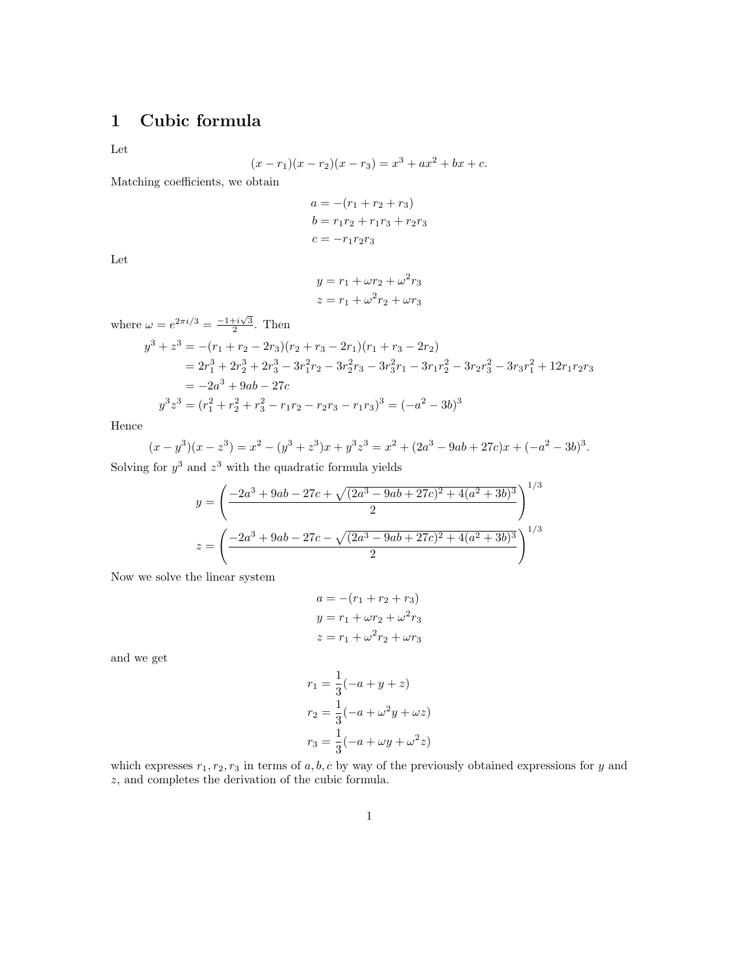## 1 Cubic formula

Let

$$
(x - r1)(x - r2)(x - r3) = x3 + ax2 + bx + c.
$$

Matching coefficients, we obtain

$$
a = -(r1 + r2 + r3)
$$
  

$$
b = r1r2 + r1r3 + r2r3
$$
  

$$
c = -r1r2r3
$$

Let

$$
y = r_1 + \omega r_2 + \omega^2 r_3
$$

$$
z = r_1 + \omega^2 r_2 + \omega r_3
$$

where  $\omega = e^{2\pi i/3} = \frac{-1+i\sqrt{3}}{2}$ . Then

$$
y^{3} + z^{3} = -(r_{1} + r_{2} - 2r_{3})(r_{2} + r_{3} - 2r_{1})(r_{1} + r_{3} - 2r_{2})
$$
  
=  $2r_{1}^{3} + 2r_{2}^{3} + 2r_{3}^{3} - 3r_{1}^{2}r_{2} - 3r_{2}^{2}r_{3} - 3r_{3}^{2}r_{1} - 3r_{1}r_{2}^{2} - 3r_{2}r_{3}^{2} - 3r_{3}r_{1}^{2} + 12r_{1}r_{2}r_{3}$   
=  $-2a^{3} + 9ab - 27c$   

$$
y^{3}z^{3} = (r_{1}^{2} + r_{2}^{2} + r_{3}^{2} - r_{1}r_{2} - r_{2}r_{3} - r_{1}r_{3})^{3} = (-a^{2} - 3b)^{3}
$$

Hence

$$
(x - y3)(x - z3) = x2 - (y3 + z3)x + y3z3 = x2 + (2a3 - 9ab + 27c)x + (-a2 - 3b)3.
$$

Solving for  $y^3$  and  $z^3$  with the quadratic formula yields

$$
y = \left(\frac{-2a^3 + 9ab - 27c + \sqrt{(2a^3 - 9ab + 27c)^2 + 4(a^2 + 3b)^3}}{2}\right)^{1/3}
$$

$$
z = \left(\frac{-2a^3 + 9ab - 27c - \sqrt{(2a^3 - 9ab + 27c)^2 + 4(a^2 + 3b)^3}}{2}\right)^{1/3}
$$

Now we solve the linear system

$$
a = -(r1 + r2 + r3)
$$
  

$$
y = r1 + \omega r2 + \omega2 r3
$$
  

$$
z = r1 + \omega2 r2 + \omega r3
$$

and we get

$$
r_1 = \frac{1}{3}(-a + y + z)
$$
  
\n
$$
r_2 = \frac{1}{3}(-a + \omega^2 y + \omega z)
$$
  
\n
$$
r_3 = \frac{1}{3}(-a + \omega y + \omega^2 z)
$$

which expresses  $r_1, r_2, r_3$  in terms of a, b, c by way of the previously obtained expressions for y and z, and completes the derivation of the cubic formula.